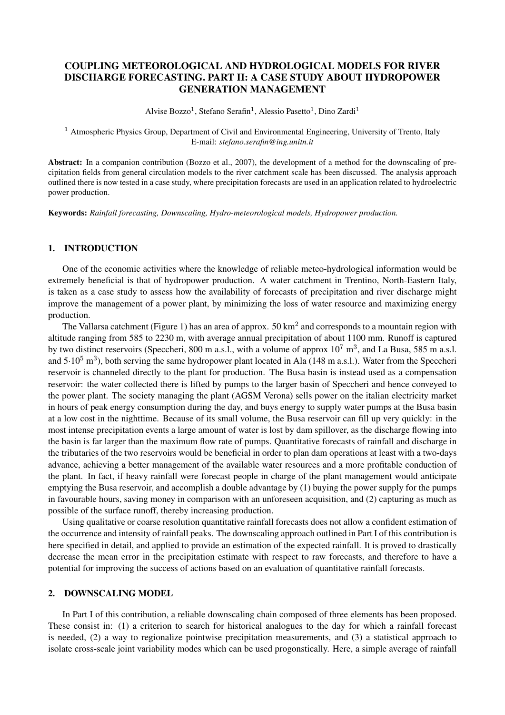# COUPLING METEOROLOGICAL AND HYDROLOGICAL MODELS FOR RIVER DISCHARGE FORECASTING. PART II: A CASE STUDY ABOUT HYDROPOWER GENERATION MANAGEMENT

Alvise Bozzo<sup>1</sup>, Stefano Serafin<sup>1</sup>, Alessio Pasetto<sup>1</sup>, Dino Zardi<sup>1</sup>

<sup>1</sup> Atmospheric Physics Group, Department of Civil and Environmental Engineering, University of Trento, Italy E-mail: *stefano.serafin@ing.unitn.it*

Abstract: In a companion contribution (Bozzo et al., 2007), the development of a method for the downscaling of precipitation fields from general circulation models to the river catchment scale has been discussed. The analysis approach outlined there is now tested in a case study, where precipitation forecasts are used in an application related to hydroelectric power production.

Keywords: *Rainfall forecasting, Downscaling, Hydro-meteorological models, Hydropower production.*

## 1. INTRODUCTION

One of the economic activities where the knowledge of reliable meteo-hydrological information would be extremely beneficial is that of hydropower production. A water catchment in Trentino, North-Eastern Italy, is taken as a case study to assess how the availability of forecasts of precipitation and river discharge might improve the management of a power plant, by minimizing the loss of water resource and maximizing energy production.

The Vallarsa catchment (Figure 1) has an area of approx.  $50 \text{ km}^2$  and corresponds to a mountain region with altitude ranging from 585 to 2230 m, with average annual precipitation of about 1100 mm. Runoff is captured by two distinct reservoirs (Speccheri, 800 m a.s.l., with a volume of approx  $10^7$  m<sup>3</sup>, and La Busa, 585 m a.s.l. and  $5.10^5$  m<sup>3</sup>), both serving the same hydropower plant located in Ala (148 m a.s.l.). Water from the Speccheri reservoir is channeled directly to the plant for production. The Busa basin is instead used as a compensation reservoir: the water collected there is lifted by pumps to the larger basin of Speccheri and hence conveyed to the power plant. The society managing the plant (AGSM Verona) sells power on the italian electricity market in hours of peak energy consumption during the day, and buys energy to supply water pumps at the Busa basin at a low cost in the nighttime. Because of its small volume, the Busa reservoir can fill up very quickly: in the most intense precipitation events a large amount of water is lost by dam spillover, as the discharge flowing into the basin is far larger than the maximum flow rate of pumps. Quantitative forecasts of rainfall and discharge in the tributaries of the two reservoirs would be beneficial in order to plan dam operations at least with a two-days advance, achieving a better management of the available water resources and a more profitable conduction of the plant. In fact, if heavy rainfall were forecast people in charge of the plant management would anticipate emptying the Busa reservoir, and accomplish a double advantage by (1) buying the power supply for the pumps in favourable hours, saving money in comparison with an unforeseen acquisition, and (2) capturing as much as possible of the surface runoff, thereby increasing production.

Using qualitative or coarse resolution quantitative rainfall forecasts does not allow a confident estimation of the occurrence and intensity of rainfall peaks. The downscaling approach outlined in Part I of this contribution is here specified in detail, and applied to provide an estimation of the expected rainfall. It is proved to drastically decrease the mean error in the precipitation estimate with respect to raw forecasts, and therefore to have a potential for improving the success of actions based on an evaluation of quantitative rainfall forecasts.

#### 2. DOWNSCALING MODEL

In Part I of this contribution, a reliable downscaling chain composed of three elements has been proposed. These consist in: (1) a criterion to search for historical analogues to the day for which a rainfall forecast is needed, (2) a way to regionalize pointwise precipitation measurements, and (3) a statistical approach to isolate cross-scale joint variability modes which can be used progonstically. Here, a simple average of rainfall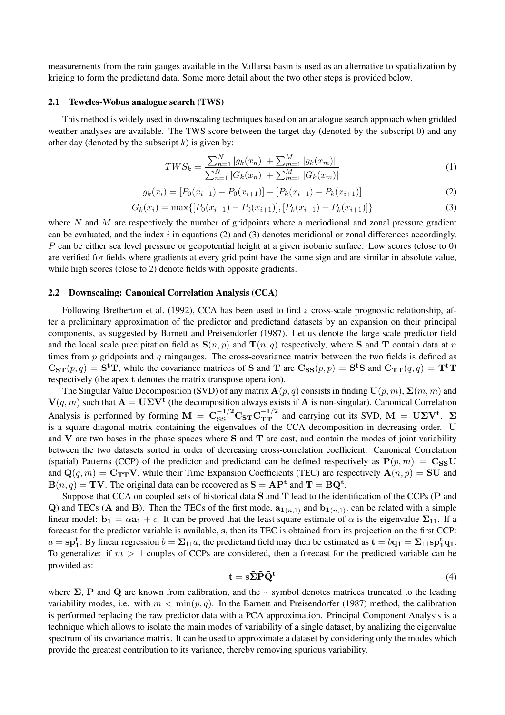measurements from the rain gauges available in the Vallarsa basin is used as an alternative to spatialization by kriging to form the predictand data. Some more detail about the two other steps is provided below.

#### 2.1 Teweles-Wobus analogue search (TWS)

This method is widely used in downscaling techniques based on an analogue search approach when gridded weather analyses are available. The TWS score between the target day (denoted by the subscript 0) and any other day (denoted by the subscript  $k$ ) is given by:

$$
TWS_k = \frac{\sum_{n=1}^{N} |g_k(x_n)| + \sum_{m=1}^{M} |g_k(x_m)|}{\sum_{n=1}^{N} |G_k(x_n)| + \sum_{m=1}^{M} |G_k(x_m)|}
$$
(1)

$$
g_k(x_i) = [P_0(x_{i-1}) - P_0(x_{i+1})] - [P_k(x_{i-1}) - P_k(x_{i+1})]
$$
\n(2)

$$
G_k(x_i) = \max\{[P_0(x_{i-1}) - P_0(x_{i+1})], [P_k(x_{i-1}) - P_k(x_{i+1})]\}\
$$
\n(3)

where  $N$  and  $M$  are respectively the number of gridpoints where a meriodional and zonal pressure gradient can be evaluated, and the index  $i$  in equations (2) and (3) denotes meridional or zonal differences accordingly. P can be either sea level pressure or geopotential height at a given isobaric surface. Low scores (close to 0) are verified for fields where gradients at every grid point have the same sign and are similar in absolute value, while high scores (close to 2) denote fields with opposite gradients.

#### 2.2 Downscaling: Canonical Correlation Analysis (CCA)

Following Bretherton et al. (1992), CCA has been used to find a cross-scale prognostic relationship, after a preliminary approximation of the predictor and predictand datasets by an expansion on their principal components, as suggested by Barnett and Preisendorfer (1987). Let us denote the large scale predictor field and the local scale precipitation field as  $S(n, p)$  and  $T(n, q)$  respectively, where S and T contain data at n times from  $p$  gridpoints and  $q$  raingauges. The cross-covariance matrix between the two fields is defined as  $\mathbf{C_{ST}}(p,q) = \mathbf{S^tT}$ , while the covariance matrices of S and T are  $\mathbf{C_{SS}}(p,p) = \mathbf{S^tS}$  and  $\mathbf{C_{TT}}(q,q) = \mathbf{T^tT}$ respectively (the apex t denotes the matrix transpose operation).

The Singular Value Decomposition (SVD) of any matrix  $\mathbf{A}(p,q)$  consists in finding  $\mathbf{U}(p,m)$ ,  $\mathbf{\Sigma}(m,m)$  and  $V(q, m)$  such that  $A = U\Sigma V^t$  (the decomposition always exists if A is non-singular). Canonical Correlation Analysis is performed by forming  $M = C_{SS}^{-1/2} C_{ST} C_{TT}^{-1/2}$  and carrying out its SVD,  $M = U\Sigma V^t$ .  $\Sigma$ is a square diagonal matrix containing the eigenvalues of the CCA decomposition in decreasing order. U and  $V$  are two bases in the phase spaces where  $S$  and  $T$  are cast, and contain the modes of joint variability between the two datasets sorted in order of decreasing cross-correlation coefficient. Canonical Correlation (spatial) Patterns (CCP) of the predictor and predictand can be defined respectively as  $P(p, m) = C_{SS}U$ and  $\mathbf{Q}(q, m) = \mathbf{C_{TT}}\mathbf{V}$ , while their Time Expansion Coefficients (TEC) are respectively  $\mathbf{A}(n, p) = \mathbf{S}\mathbf{U}$  and  ${\bf B}(n,q) = {\bf TV}$ . The original data can be recovered as  ${\bf S} = {\bf AP^t}$  and  ${\bf T} = {\bf BQ^t}$ .

Suppose that CCA on coupled sets of historical data S and T lead to the identification of the CCPs (P and Q) and TECs (A and B). Then the TECs of the first mode,  $a_{1(n,1)}$  and  $b_{1(n,1)}$ , can be related with a simple linear model:  $b_1 = \alpha a_1 + \epsilon$ . It can be proved that the least square estimate of  $\alpha$  is the eigenvalue  $\Sigma_{11}$ . If a forecast for the predictor variable is available, s, then its TEC is obtained from its projection on the first CCP:  $a = sp_1^t$ . By linear regression  $b = \Sigma_{11}a$ ; the predictand field may then be estimated as  $t = bq_1 = \Sigma_{11}sp_1^tq_1$ . To generalize: if  $m > 1$  couples of CCPs are considered, then a forecast for the predicted variable can be provided as:

$$
\mathbf{t} = \mathbf{s} \tilde{\Sigma} \tilde{\mathbf{P}} \tilde{\mathbf{Q}}^{\mathbf{t}} \tag{4}
$$

where  $\Sigma$ , P and Q are known from calibration, and the  $\sim$  symbol denotes matrices truncated to the leading variability modes, i.e. with  $m < \min(p, q)$ . In the Barnett and Preisendorfer (1987) method, the calibration is performed replacing the raw predictor data with a PCA approximation. Principal Component Analysis is a technique which allows to isolate the main modes of variability of a single dataset, by analizing the eigenvalue spectrum of its covariance matrix. It can be used to approximate a dataset by considering only the modes which provide the greatest contribution to its variance, thereby removing spurious variability.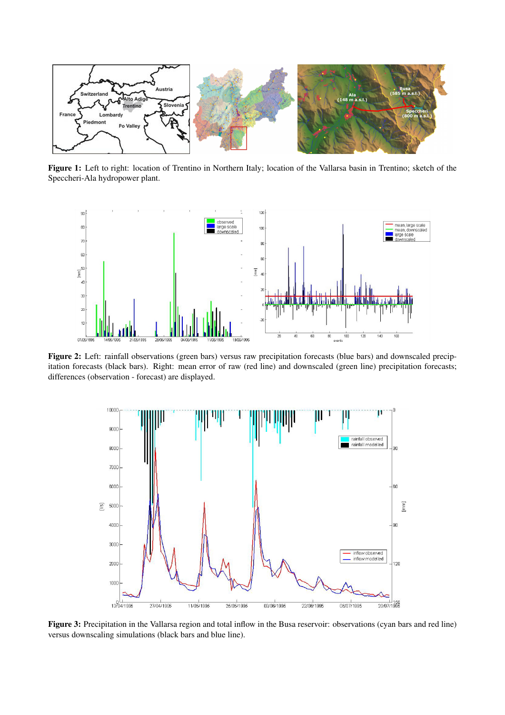

Figure 1: Left to right: location of Trentino in Northern Italy; location of the Vallarsa basin in Trentino; sketch of the Speccheri-Ala hydropower plant.



Figure 2: Left: rainfall observations (green bars) versus raw precipitation forecasts (blue bars) and downscaled precipitation forecasts (black bars). Right: mean error of raw (red line) and downscaled (green line) precipitation forecasts; differences (observation - forecast) are displayed.



Figure 3: Precipitation in the Vallarsa region and total inflow in the Busa reservoir: observations (cyan bars and red line) versus downscaling simulations (black bars and blue line).